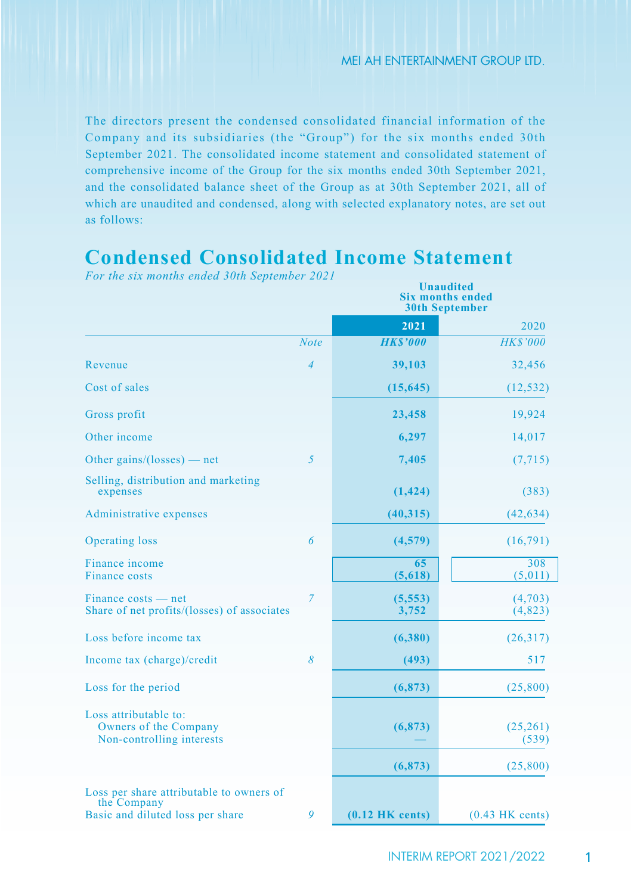The directors present the condensed consolidated financial information of the Company and its subsidiaries (the "Group") for the six months ended 30th September 2021. The consolidated income statement and consolidated statement of comprehensive income of the Group for the six months ended 30th September 2021, and the consolidated balance sheet of the Group as at 30th September 2021, all of which are unaudited and condensed, along with selected explanatory notes, are set out as follows:

# **Condensed Consolidated Income Statement**

|                                                                             |                | Unaudited<br><b>Six months ended</b><br><b>30th September</b> |                     |  |  |
|-----------------------------------------------------------------------------|----------------|---------------------------------------------------------------|---------------------|--|--|
|                                                                             |                | 2021                                                          | 2020                |  |  |
|                                                                             | <b>Note</b>    | <b>HKS'000</b>                                                | <b>HKS'000</b>      |  |  |
| Revenue                                                                     | $\overline{4}$ | 39,103                                                        | 32,456              |  |  |
| Cost of sales                                                               |                | (15, 645)                                                     | (12, 532)           |  |  |
| Gross profit                                                                |                | 23,458                                                        | 19,924              |  |  |
| Other income                                                                |                | 6,297                                                         | 14,017              |  |  |
| Other gains/(losses) — net                                                  | 5              | 7,405                                                         | (7, 715)            |  |  |
| Selling, distribution and marketing<br>expenses                             |                | (1, 424)                                                      | (383)               |  |  |
| Administrative expenses                                                     |                | (40, 315)                                                     | (42, 634)           |  |  |
| <b>Operating loss</b>                                                       | 6              | (4,579)                                                       | (16,791)            |  |  |
| Finance income<br><b>Finance costs</b>                                      |                | 65<br>(5,618)                                                 | 308<br>(5,011)      |  |  |
| Finance costs — net<br>Share of net profits/(losses) of associates          | $\overline{7}$ | (5, 553)<br>3,752                                             | (4,703)<br>(4, 823) |  |  |
| Loss before income tax                                                      |                | (6,380)                                                       | (26,317)            |  |  |
| Income tax (charge)/credit                                                  | 8              | (493)                                                         | 517                 |  |  |
| Loss for the period                                                         |                | (6, 873)                                                      | (25,800)            |  |  |
| Loss attributable to:<br>Owners of the Company<br>Non-controlling interests |                | (6, 873)                                                      | (25,261)<br>(539)   |  |  |
|                                                                             |                | (6, 873)                                                      | (25,800)            |  |  |
| Loss per share attributable to owners of<br>the Company                     |                |                                                               |                     |  |  |
| Basic and diluted loss per share                                            | 9              | $(0.12$ HK cents)                                             | $(0.43$ HK cents)   |  |  |

*For the six months ended 30th September 2021*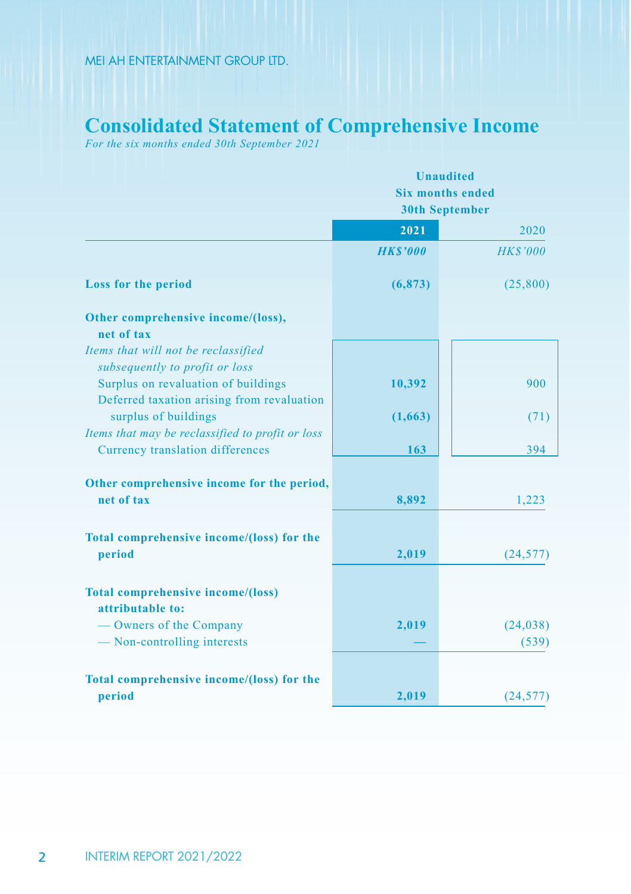## **Consolidated Statement of Comprehensive Income**

*For the six months ended 30th September 2021*

|                                                  | <b>Unaudited</b><br><b>Six months ended</b><br><b>30th September</b> |                 |  |  |
|--------------------------------------------------|----------------------------------------------------------------------|-----------------|--|--|
|                                                  | 2021                                                                 | 2020            |  |  |
|                                                  | <b>HKS'000</b>                                                       | <b>HK\$'000</b> |  |  |
| <b>Loss for the period</b>                       | (6, 873)                                                             | (25,800)        |  |  |
| Other comprehensive income/(loss),               |                                                                      |                 |  |  |
| net of tax                                       |                                                                      |                 |  |  |
| Items that will not be reclassified              |                                                                      |                 |  |  |
| subsequently to profit or loss                   |                                                                      |                 |  |  |
| Surplus on revaluation of buildings              | 10,392                                                               | 900             |  |  |
| Deferred taxation arising from revaluation       |                                                                      |                 |  |  |
| surplus of buildings                             | (1,663)                                                              | (71)            |  |  |
| Items that may be reclassified to profit or loss |                                                                      |                 |  |  |
| Currency translation differences                 | 163                                                                  | 394             |  |  |
|                                                  |                                                                      |                 |  |  |
| Other comprehensive income for the period,       |                                                                      |                 |  |  |
| net of tax                                       | 8,892                                                                | 1,223           |  |  |
|                                                  |                                                                      |                 |  |  |
| Total comprehensive income/(loss) for the        |                                                                      |                 |  |  |
| period                                           | 2,019                                                                | (24, 577)       |  |  |
|                                                  |                                                                      |                 |  |  |
| <b>Total comprehensive income/(loss)</b>         |                                                                      |                 |  |  |
| attributable to:                                 |                                                                      |                 |  |  |
| — Owners of the Company                          | 2,019                                                                | (24, 038)       |  |  |
| - Non-controlling interests                      |                                                                      | (539)           |  |  |
|                                                  |                                                                      |                 |  |  |
| Total comprehensive income/(loss) for the        |                                                                      |                 |  |  |
| period                                           | 2,019                                                                | (24, 577)       |  |  |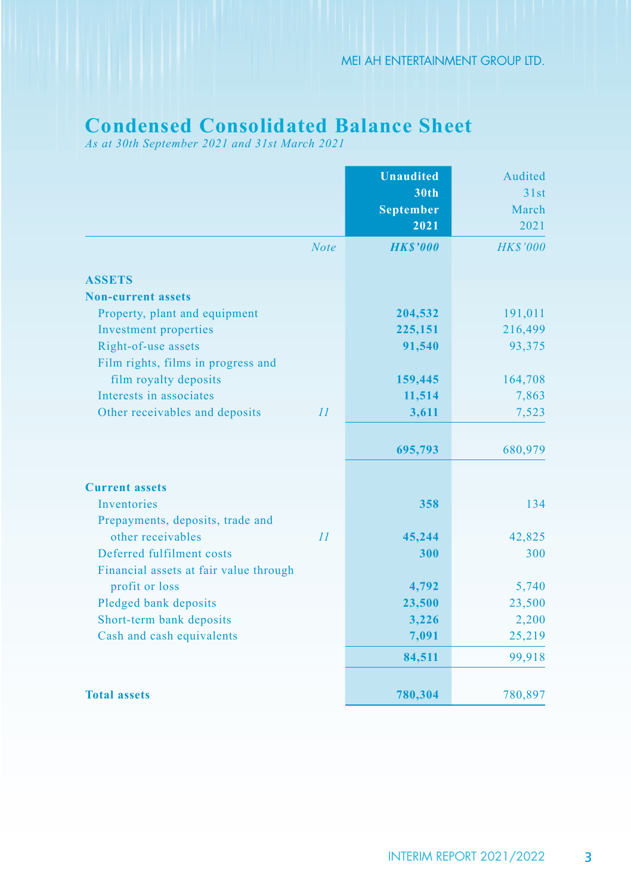# **Condensed Consolidated Balance Sheet**

*As at 30th September 2021 and 31st March 2021*

|                                        | <b>Unaudited</b> | Audited         |
|----------------------------------------|------------------|-----------------|
|                                        | <b>30th</b>      | 31st            |
|                                        | <b>September</b> | March           |
|                                        | 2021             | 2021            |
| <b>Note</b>                            | <b>HK\$'000</b>  | <b>HK\$'000</b> |
| <b>ASSETS</b>                          |                  |                 |
| <b>Non-current assets</b>              |                  |                 |
| Property, plant and equipment          | 204,532          | 191,011         |
| Investment properties                  | 225,151          | 216,499         |
| Right-of-use assets                    | 91,540           | 93,375          |
| Film rights, films in progress and     |                  |                 |
| film royalty deposits                  | 159,445          | 164,708         |
| Interests in associates                | 11,514           | 7,863           |
| Other receivables and deposits<br>II   | 3,611            | 7,523           |
|                                        | 695,793          | 680,979         |
| <b>Current assets</b>                  |                  |                 |
| <b>Inventories</b>                     | 358              | 134             |
| Prepayments, deposits, trade and       |                  |                 |
| other receivables<br>II                | 45,244           | 42,825          |
| Deferred fulfilment costs              | 300              | 300             |
| Financial assets at fair value through |                  |                 |
| profit or loss                         | 4,792            | 5,740           |
| Pledged bank deposits                  | 23,500           | 23,500          |
| Short-term bank deposits               | 3,226            | 2,200           |
| Cash and cash equivalents              | 7,091            | 25,219          |
|                                        | 84,511           | 99,918          |
| <b>Total assets</b>                    | 780,304          | 780,897         |
|                                        |                  |                 |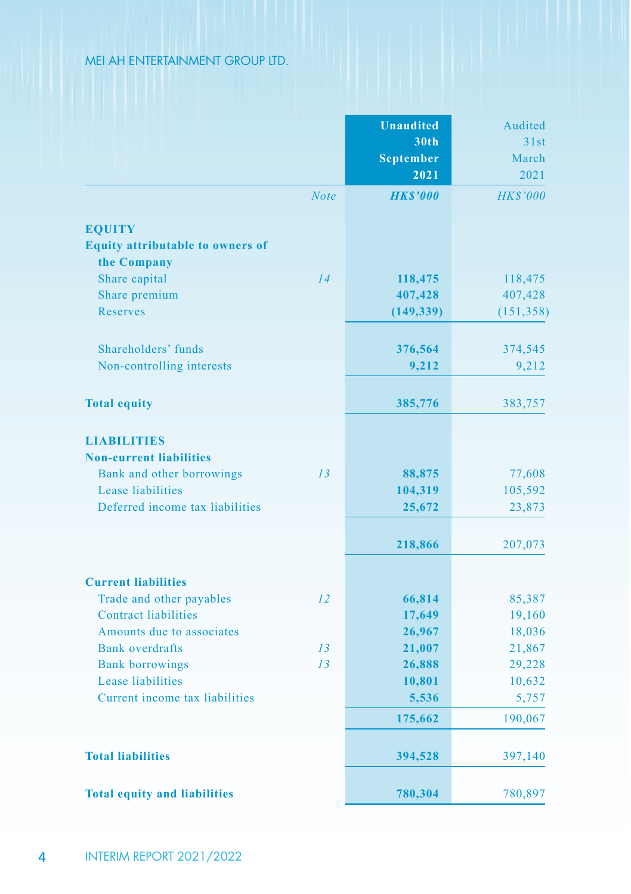|                                                          | <b>Unaudited</b><br>30th<br><b>September</b><br>2021 | Audited<br>31st<br>March<br>2021 |
|----------------------------------------------------------|------------------------------------------------------|----------------------------------|
| <b>Note</b>                                              | <b>HKS'000</b>                                       | <b>HK\$'000</b>                  |
|                                                          |                                                      |                                  |
| <b>EQUITY</b><br><b>Equity attributable to owners of</b> |                                                      |                                  |
| the Company                                              |                                                      |                                  |
| Share capital<br>14                                      | 118,475                                              | 118,475                          |
| Share premium                                            | 407,428                                              | 407,428                          |
| <b>Reserves</b>                                          | (149, 339)                                           | (151, 358)                       |
|                                                          |                                                      |                                  |
| Shareholders' funds                                      | 376,564                                              | 374,545                          |
| Non-controlling interests                                | 9,212                                                | 9,212                            |
|                                                          |                                                      |                                  |
| <b>Total equity</b>                                      | 385,776                                              | 383,757                          |
| <b>LIABILITIES</b>                                       |                                                      |                                  |
| <b>Non-current liabilities</b>                           |                                                      |                                  |
| Bank and other borrowings<br>13                          | 88,875                                               | 77,608                           |
| Lease liabilities                                        | 104,319                                              | 105,592                          |
| Deferred income tax liabilities                          | 25,672                                               | 23,873                           |
|                                                          | 218,866                                              | 207,073                          |
| <b>Current liabilities</b>                               |                                                      |                                  |
| Trade and other payables<br>12                           | 66,814                                               | 85,387                           |
| <b>Contract liabilities</b>                              | 17,649                                               | 19,160                           |
| Amounts due to associates                                | 26,967                                               | 18,036                           |
| <b>Bank</b> overdrafts<br>13                             | 21,007                                               | 21,867                           |
| <b>Bank borrowings</b><br>13                             | 26,888                                               | 29,228                           |
| Lease liabilities                                        | 10,801                                               | 10,632                           |
| Current income tax liabilities                           | 5,536                                                | 5,757                            |
|                                                          | 175,662                                              | 190,067                          |
| <b>Total liabilities</b>                                 | 394,528                                              | 397,140                          |
| <b>Total equity and liabilities</b>                      | 780,304                                              | 780,897                          |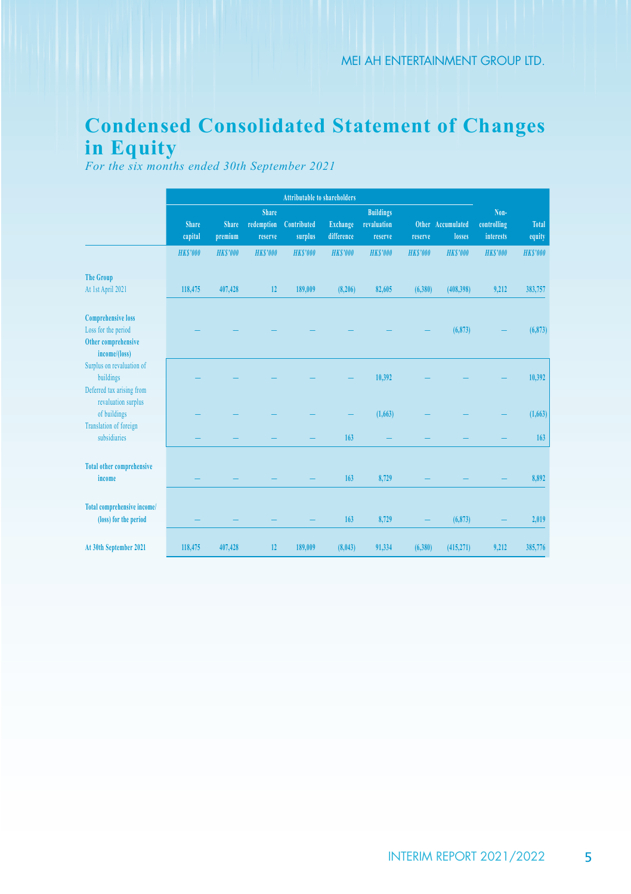# **Condensed Consolidated Statement of Changes in Equity**

*For the six months ended 30th September 2021*

|                                                                                          | <b>Attributable to shareholders</b> |                         |                                       |                        |                        |                                            |                |                             |                                  |                        |
|------------------------------------------------------------------------------------------|-------------------------------------|-------------------------|---------------------------------------|------------------------|------------------------|--------------------------------------------|----------------|-----------------------------|----------------------------------|------------------------|
|                                                                                          | Share<br>capital                    | <b>Share</b><br>premium | <b>Share</b><br>redemption<br>reserve | Contributed<br>surplus | Exchange<br>difference | <b>Buildings</b><br>revaluation<br>reserve | reserve        | Other Accumulated<br>losses | Non-<br>controlling<br>interests | <b>Total</b><br>equity |
|                                                                                          | <b>HKS'000</b>                      | <b>HKS'000</b>          | <b>HKS'000</b>                        | <b>HKS'000</b>         | <b>HKS'000</b>         | <b>HKS'000</b>                             | <b>HKS'000</b> | <b>HKS'000</b>              | <b>HKS'000</b>                   | <b>HKS'000</b>         |
| <b>The Group</b><br>At 1st April 2021                                                    | 118,475                             | 407,428                 | 12                                    | 189,009                | (8, 206)               | 82,605                                     | (6,380)        | (408, 398)                  | 9.212                            | 383,757                |
| <b>Comprehensive loss</b><br>Loss for the period<br>Other comprehensive<br>income/(loss) |                                     |                         |                                       |                        |                        |                                            |                | (6, 873)                    |                                  | (6, 873)               |
| Surplus on revaluation of<br>buildings<br>Deferred tax arising from                      |                                     |                         |                                       |                        |                        | 10,392                                     |                |                             |                                  | 10,392                 |
| revaluation surplus<br>of buildings                                                      |                                     |                         |                                       |                        |                        | (1,663)                                    |                |                             |                                  | (1,663)                |
| <b>Translation of foreign</b><br>subsidiaries                                            |                                     |                         |                                       |                        | 163                    |                                            |                |                             |                                  | 163                    |
| <b>Total other comprehensive</b><br>income                                               |                                     |                         |                                       |                        | 163                    | 8,729                                      |                |                             |                                  | 8.892                  |
| <b>Total comprehensive income/</b><br>(loss) for the period                              |                                     |                         |                                       |                        | 163                    | 8,729                                      |                | (6, 873)                    |                                  | 2,019                  |
| At 30th September 2021                                                                   | 118,475                             | 407,428                 | 12                                    | 189,009                | (8,043)                | 91,334                                     | (6,380)        | (415, 271)                  | 9,212                            | 385,776                |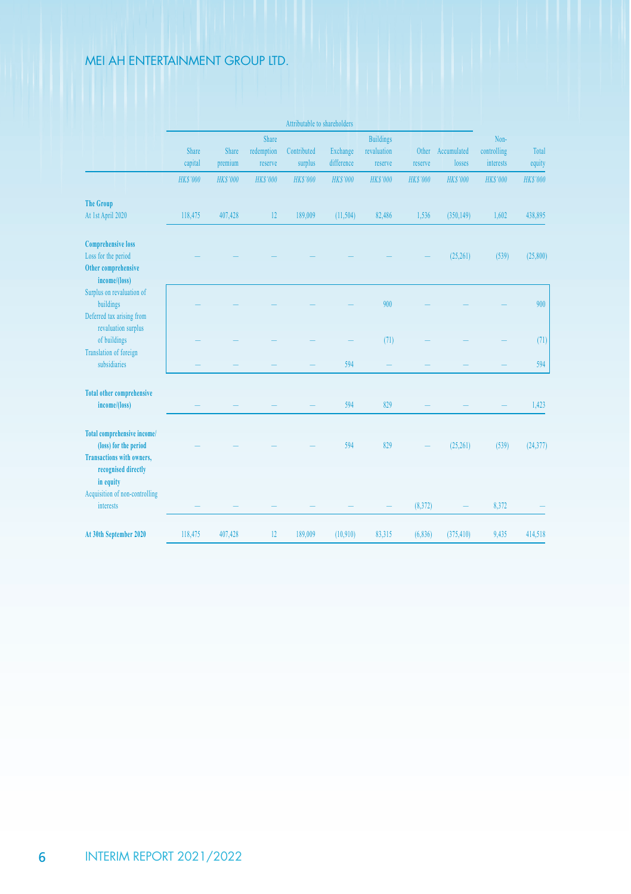|                                               | Attributable to shareholders |                |                |                 |                 |                  |                 |                   |                 |                |
|-----------------------------------------------|------------------------------|----------------|----------------|-----------------|-----------------|------------------|-----------------|-------------------|-----------------|----------------|
|                                               |                              |                | Share          |                 |                 | <b>Buildings</b> |                 |                   | Non-            |                |
|                                               | Share                        | Share          | redemption     | Contributed     | Exchange        | revaluation      |                 | Other Accumulated | controlling     | Total          |
|                                               | capital                      | premium        | reserve        | surplus         | difference      | reserve          | reserve         | losses            | interests       | equity         |
|                                               | <b>HKS'000</b>               | <b>HKS'000</b> | <b>HKS'000</b> | <b>HK\$'000</b> | <b>HK\$'000</b> | <b>HK\$'000</b>  | <b>HK\$'000</b> | <b>HK\$'000</b>   | <b>HK\$'000</b> | <b>HKS'000</b> |
| <b>The Group</b>                              |                              |                |                |                 |                 |                  |                 |                   |                 |                |
| At 1st April 2020                             | 118,475                      | 407,428        | 12             | 189,009         | (11, 504)       | 82,486           | 1.536           | (350, 149)        | 1,602           | 438,895        |
| <b>Comprehensive loss</b>                     |                              |                |                |                 |                 |                  |                 |                   |                 |                |
| Loss for the period                           |                              |                |                |                 |                 |                  |                 | (25, 261)         | (539)           | (25, 800)      |
| Other comprehensive<br>income/(loss)          |                              |                |                |                 |                 |                  |                 |                   |                 |                |
| Surplus on revaluation of                     |                              |                |                |                 |                 |                  |                 |                   |                 |                |
| buildings                                     |                              |                |                |                 |                 | 900              |                 |                   |                 | 900            |
| Deferred tax arising from                     |                              |                |                |                 |                 |                  |                 |                   |                 |                |
| revaluation surplus                           |                              |                |                |                 |                 |                  |                 |                   |                 |                |
| of buildings                                  |                              |                |                |                 |                 | (71)             |                 |                   |                 | (71)           |
| <b>Translation of foreign</b><br>subsidiaries |                              |                |                |                 | 594             |                  |                 |                   |                 | 594            |
|                                               |                              |                |                |                 |                 |                  |                 |                   |                 |                |
| <b>Total other comprehensive</b>              |                              |                |                |                 |                 |                  |                 |                   |                 |                |
| income/(loss)                                 |                              |                |                |                 | 594             | 829              |                 |                   |                 | 1.423          |
| <b>Total comprehensive income/</b>            |                              |                |                |                 |                 |                  |                 |                   |                 |                |
| (loss) for the period                         |                              |                |                |                 | 594             | 829              |                 | (25, 261)         | (539)           | (24, 377)      |
| <b>Transactions with owners.</b>              |                              |                |                |                 |                 |                  |                 |                   |                 |                |
| recognised directly                           |                              |                |                |                 |                 |                  |                 |                   |                 |                |
| in equity                                     |                              |                |                |                 |                 |                  |                 |                   |                 |                |
| Acquisition of non-controlling<br>interests   |                              |                |                |                 |                 |                  | (8,372)         |                   | 8.372           |                |
|                                               |                              |                |                |                 |                 |                  |                 |                   |                 |                |
| At 30th September 2020                        | 118,475                      | 407,428        | 12             | 189,009         | (10.910)        | 83,315           | (6,836)         | (375, 410)        | 9,435           | 414,518        |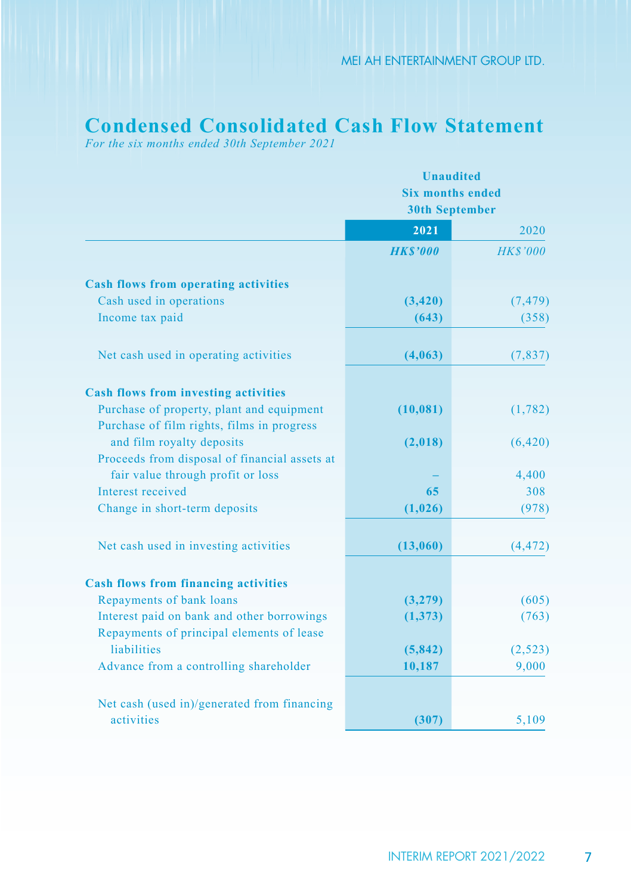## **Condensed Consolidated Cash Flow Statement**

*For the six months ended 30th September 2021*

|                                                                                          | <b>Unaudited</b>                                 |                 |  |  |  |
|------------------------------------------------------------------------------------------|--------------------------------------------------|-----------------|--|--|--|
|                                                                                          | <b>Six months ended</b><br><b>30th September</b> |                 |  |  |  |
|                                                                                          |                                                  |                 |  |  |  |
|                                                                                          | 2021                                             | 2020            |  |  |  |
|                                                                                          | <b>HKS'000</b>                                   | <b>HK\$'000</b> |  |  |  |
| <b>Cash flows from operating activities</b>                                              |                                                  |                 |  |  |  |
| Cash used in operations                                                                  | (3, 420)                                         | (7, 479)        |  |  |  |
| Income tax paid                                                                          | (643)                                            | (358)           |  |  |  |
| Net cash used in operating activities                                                    | (4,063)                                          | (7,837)         |  |  |  |
|                                                                                          |                                                  |                 |  |  |  |
| <b>Cash flows from investing activities</b><br>Purchase of property, plant and equipment |                                                  |                 |  |  |  |
| Purchase of film rights, films in progress                                               | (10, 081)                                        | (1,782)         |  |  |  |
| and film royalty deposits                                                                | (2,018)                                          | (6, 420)        |  |  |  |
| Proceeds from disposal of financial assets at                                            |                                                  |                 |  |  |  |
| fair value through profit or loss                                                        |                                                  | 4,400           |  |  |  |
| Interest received                                                                        | 65                                               | 308             |  |  |  |
| Change in short-term deposits                                                            | (1,026)                                          | (978)           |  |  |  |
| Net cash used in investing activities                                                    | (13,060)                                         | (4, 472)        |  |  |  |
|                                                                                          |                                                  |                 |  |  |  |
| <b>Cash flows from financing activities</b>                                              |                                                  |                 |  |  |  |
| Repayments of bank loans                                                                 | (3,279)                                          | (605)           |  |  |  |
| Interest paid on bank and other borrowings                                               | (1,373)                                          | (763)           |  |  |  |
| Repayments of principal elements of lease                                                |                                                  |                 |  |  |  |
| liabilities                                                                              | (5,842)                                          | (2,523)         |  |  |  |
| Advance from a controlling shareholder                                                   | 10,187                                           | 9,000           |  |  |  |
| Net cash (used in)/generated from financing                                              |                                                  |                 |  |  |  |
| activities                                                                               | (307)                                            | 5,109           |  |  |  |
|                                                                                          |                                                  |                 |  |  |  |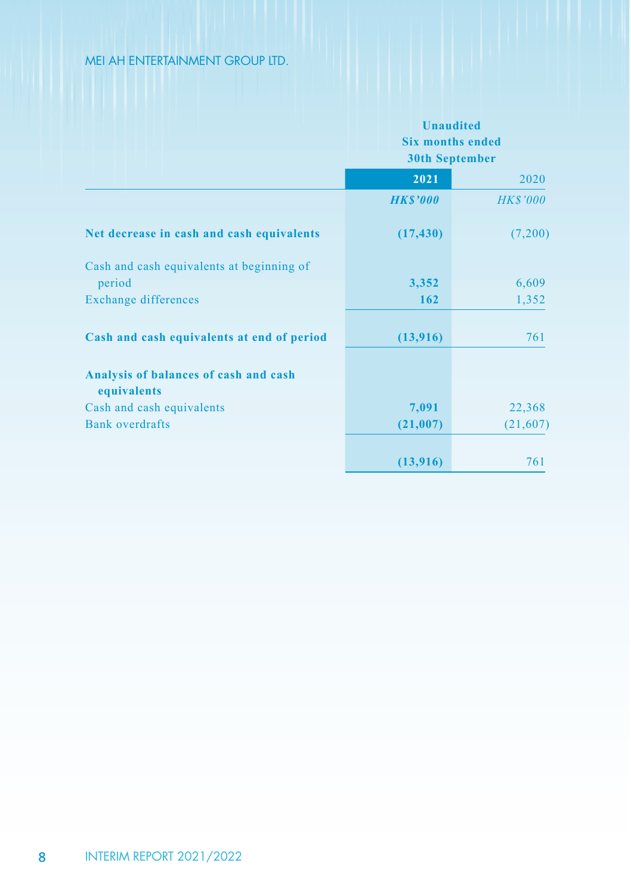|                                                      | <b>Unaudited</b><br><b>Six months ended</b><br><b>30th September</b> |                 |
|------------------------------------------------------|----------------------------------------------------------------------|-----------------|
|                                                      | 2021                                                                 | 2020            |
|                                                      | <b>HK\$'000</b>                                                      | <b>HK\$'000</b> |
| Net decrease in cash and cash equivalents            | (17, 430)                                                            | (7,200)         |
| Cash and cash equivalents at beginning of            |                                                                      |                 |
| period                                               | 3,352                                                                | 6,609           |
| Exchange differences                                 | 162                                                                  | 1,352           |
| Cash and cash equivalents at end of period           | (13,916)                                                             | 761             |
| Analysis of balances of cash and cash<br>equivalents |                                                                      |                 |
| Cash and cash equivalents                            | 7,091                                                                | 22,368          |
| <b>Bank</b> overdrafts                               | (21,007)                                                             | (21,607)        |
|                                                      | (13,916)                                                             | 761             |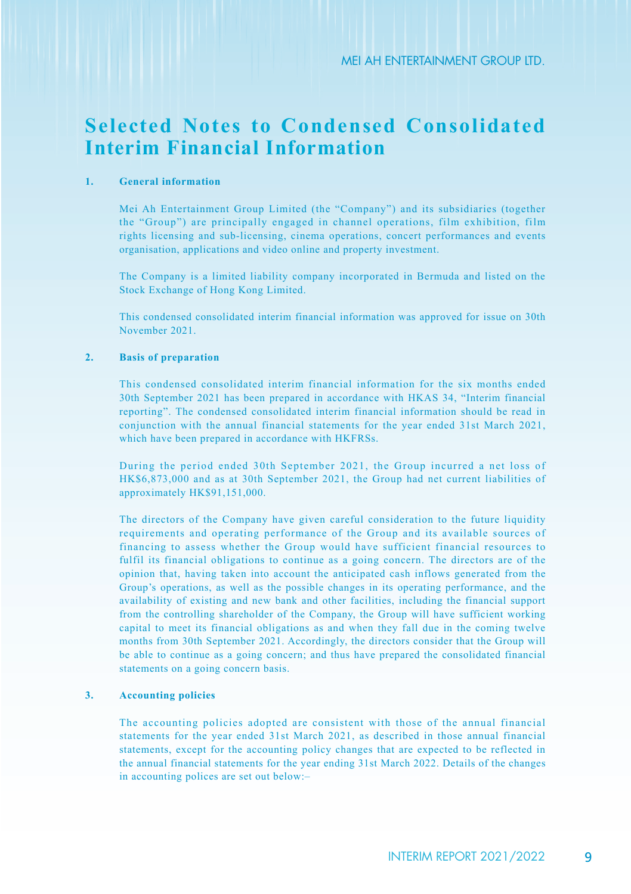## **Selected Notes to Condensed Consolidated Interim Financial Information**

#### **1. General information**

Mei Ah Entertainment Group Limited (the "Company") and its subsidiaries (together the "Group") are principally engaged in channel operations, film exhibition, film rights licensing and sub-licensing, cinema operations, concert performances and events organisation, applications and video online and property investment.

The Company is a limited liability company incorporated in Bermuda and listed on the Stock Exchange of Hong Kong Limited.

This condensed consolidated interim financial information was approved for issue on 30th November 2021.

#### **2. Basis of preparation**

This condensed consolidated interim financial information for the six months ended 30th September 2021 has been prepared in accordance with HKAS 34, "Interim financial reporting". The condensed consolidated interim financial information should be read in conjunction with the annual financial statements for the year ended 31st March 2021, which have been prepared in accordance with HKFRSs.

During the period ended 30th September 2021, the Group incurred a net loss of HK\$6,873,000 and as at 30th September 2021, the Group had net current liabilities of approximately HK\$91,151,000.

The directors of the Company have given careful consideration to the future liquidity requirements and operating performance of the Group and its available sources of financing to assess whether the Group would have sufficient financial resources to fulfil its financial obligations to continue as a going concern. The directors are of the opinion that, having taken into account the anticipated cash inflows generated from the Group's operations, as well as the possible changes in its operating performance, and the availability of existing and new bank and other facilities, including the financial support from the controlling shareholder of the Company, the Group will have sufficient working capital to meet its financial obligations as and when they fall due in the coming twelve months from 30th September 2021. Accordingly, the directors consider that the Group will be able to continue as a going concern; and thus have prepared the consolidated financial statements on a going concern basis.

#### **3. Accounting policies**

The accounting policies adopted are consistent with those of the annual financial statements for the year ended 31st March 2021, as described in those annual financial statements, except for the accounting policy changes that are expected to be reflected in the annual financial statements for the year ending 31st March 2022. Details of the changes in accounting polices are set out below:–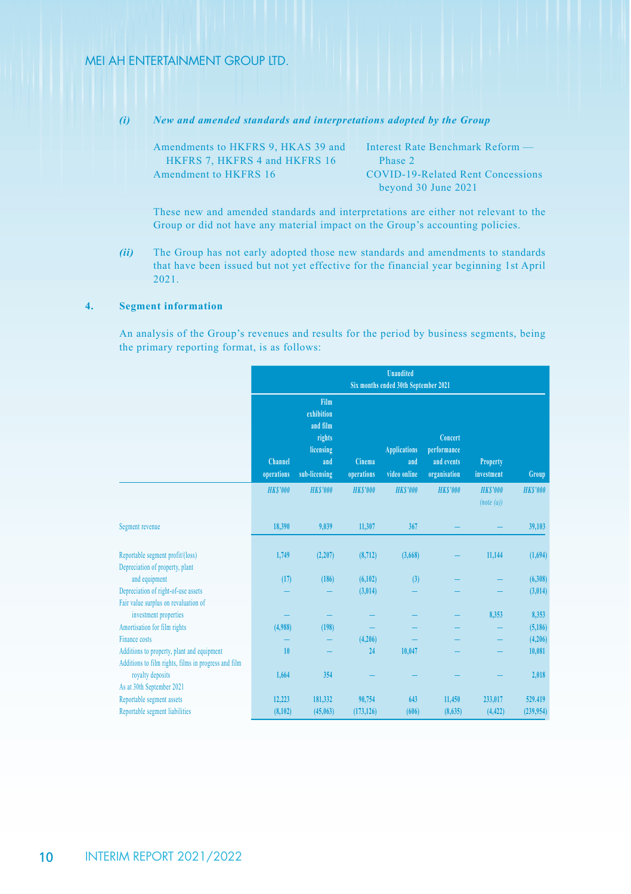*(i) New and amended standards and interpretations adopted by the Group*

| Amendments to HKFRS 9, HKAS 39 and | Interest Rate Benchmark Reform —  |
|------------------------------------|-----------------------------------|
| HKFRS 7. HKFRS 4 and HKFRS 16      | Phase 2                           |
| Amendment to HKFRS 16              | COVID-19-Related Rent Concessions |
|                                    | bevond 30 June 2021               |

These new and amended standards and interpretations are either not relevant to the Group or did not have any material impact on the Group's accounting policies.

*(ii)* The Group has not early adopted those new standards and amendments to standards that have been issued but not yet effective for the financial year beginning 1st April 2021.

### **4. Segment information**

An analysis of the Group's revenues and results for the period by business segments, being the primary reporting format, is as follows:

|                                                                             | <b>Unaudited</b><br>Six months ended 30th September 2021 |                                                                               |                      |                                            |                                                      |                               |                       |  |
|-----------------------------------------------------------------------------|----------------------------------------------------------|-------------------------------------------------------------------------------|----------------------|--------------------------------------------|------------------------------------------------------|-------------------------------|-----------------------|--|
|                                                                             | Channel<br>operations                                    | Film<br>exhibition<br>and film<br>rights<br>licensing<br>and<br>sub-licensing | Cinema<br>operations | <b>Applications</b><br>and<br>video online | Concert<br>performance<br>and events<br>organisation | <b>Property</b><br>investment | Group                 |  |
|                                                                             | <b>HKS'000</b>                                           | <b>HKS'000</b>                                                                | <b>HKS'000</b>       | <b>HKS'000</b>                             | <b>HKS'000</b>                                       | <b>HKS'000</b><br>(note(a))   | <b>HKS'000</b>        |  |
| Segment revenue                                                             | 18,390                                                   | 9,039                                                                         | 11,307               | 367                                        |                                                      |                               | 39,103                |  |
| Reportable segment profit/(loss)<br>Depreciation of property, plant         | 1,749                                                    | (2, 207)                                                                      | (8,712)              | (3,668)                                    |                                                      | 11,144                        | (1,694)               |  |
| and equipment                                                               | (17)                                                     | (186)                                                                         | (6,102)              | (3)                                        |                                                      |                               | (6,308)               |  |
| Depreciation of right-of-use assets<br>Fair value surplus on revaluation of |                                                          |                                                                               | (3,014)              |                                            |                                                      |                               | (3,014)               |  |
| investment properties                                                       |                                                          |                                                                               |                      |                                            |                                                      | 8,353                         | 8,353                 |  |
| Amortisation for film rights<br>Finance costs                               | (4.988)                                                  | (198)                                                                         |                      |                                            |                                                      |                               | (5, 186)              |  |
| Additions to property, plant and equipment                                  | 10                                                       |                                                                               | (4,206)<br>24        | 10.047                                     |                                                      |                               | (4,206)<br>10,081     |  |
| Additions to film rights, films in progress and film<br>royalty deposits    | 1,664                                                    | 354                                                                           |                      |                                            |                                                      |                               | 2,018                 |  |
| As at 30th September 2021                                                   |                                                          |                                                                               |                      |                                            |                                                      |                               |                       |  |
| Reportable segment assets<br>Reportable segment liabilities                 | 12,223<br>(8, 102)                                       | 181.332<br>(45,063)                                                           | 90,754<br>(173, 126) | 643<br>(606)                               | 11,450<br>(8,635)                                    | 233,017<br>(4, 422)           | 529.419<br>(239, 954) |  |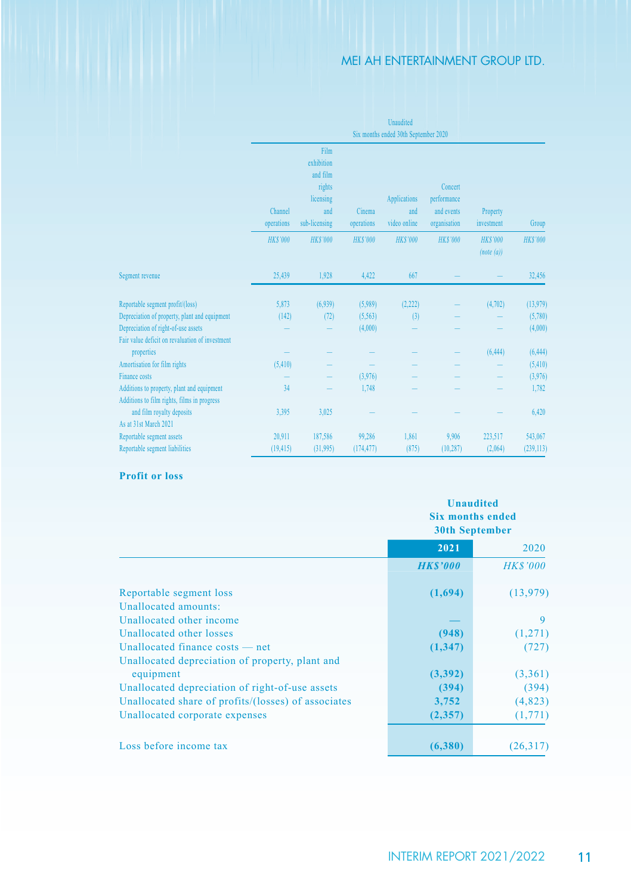|                                                               |                |                 |                | Unaudited                            |                 |                |                 |
|---------------------------------------------------------------|----------------|-----------------|----------------|--------------------------------------|-----------------|----------------|-----------------|
|                                                               |                |                 |                | Six months ended 30th September 2020 |                 |                |                 |
|                                                               |                | Film            |                |                                      |                 |                |                 |
|                                                               |                | exhibition      |                |                                      |                 |                |                 |
|                                                               |                | and film        |                |                                      |                 |                |                 |
|                                                               |                | rights          |                |                                      | Concert         |                |                 |
|                                                               |                | licensing       |                | <b>Applications</b>                  | performance     |                |                 |
|                                                               | Channel        | and             | Cinema         | and                                  | and events      | Property       |                 |
|                                                               | operations     | sub-licensing   | operations     | video online                         | organisation    | investment     | Group           |
|                                                               | <b>HKS'000</b> | <b>HK\$'000</b> | <b>HKS'000</b> | <b>HKS'000</b>                       | <b>HK\$'000</b> | <b>HKS'000</b> | <b>HK\$'000</b> |
|                                                               |                |                 |                |                                      |                 | (note(a))      |                 |
| Segment revenue                                               | 25,439         | 1.928           | 4.422          | 667                                  |                 |                | 32,456          |
|                                                               |                |                 |                |                                      |                 |                |                 |
| Reportable segment profit/(loss)                              | 5,873          | (6,939)         | (5,989)        | (2, 222)                             |                 | (4, 702)       | (13,979)        |
| Depreciation of property, plant and equipment                 | (142)          | (72)            | (5,563)        | (3)                                  |                 |                | (5,780)         |
| Depreciation of right-of-use assets                           |                |                 | (4,000)        |                                      |                 |                | (4,000)         |
| Fair value deficit on revaluation of investment<br>properties |                |                 |                |                                      |                 | (6, 444)       | (6, 444)        |
| Amortisation for film rights                                  | (5,410)        |                 |                |                                      |                 |                | (5,410)         |
| Finance costs                                                 |                |                 | (3.976)        |                                      |                 |                | (3,976)         |
| Additions to property, plant and equipment                    | 34             |                 | 1,748          |                                      |                 |                | 1,782           |
| Additions to film rights, films in progress                   |                |                 |                |                                      |                 |                |                 |
| and film royalty deposits                                     | 3.395          | 3.025           |                |                                      |                 |                | 6,420           |
| As at 31st March 2021                                         |                |                 |                |                                      |                 |                |                 |
| Reportable segment assets                                     | 20.911         | 187,586         | 99,286         | 1,861                                | 9.906           | 223,517        | 543,067         |
| Reportable segment liabilities                                | (19, 415)      | (31,995)        | (174, 477)     | (875)                                | (10, 287)       | (2.064)        | (239, 113)      |

## **Profit or loss**

|                                                     | <b>Unaudited</b><br><b>Six months ended</b><br><b>30th September</b> |                 |  |
|-----------------------------------------------------|----------------------------------------------------------------------|-----------------|--|
|                                                     | 2021                                                                 | 2020            |  |
|                                                     | <b>HKS'000</b>                                                       | <b>HK\$'000</b> |  |
| Reportable segment loss                             | (1,694)                                                              | (13, 979)       |  |
| Unallocated amounts:                                |                                                                      |                 |  |
| Unallocated other income                            |                                                                      | 9               |  |
| Unallocated other losses                            | (948)                                                                | (1,271)         |  |
| Unallocated finance costs — net                     | (1,347)                                                              | (727)           |  |
| Unallocated depreciation of property, plant and     |                                                                      |                 |  |
| equipment                                           | (3,392)                                                              | (3,361)         |  |
| Unallocated depreciation of right-of-use assets     | (394)                                                                | (394)           |  |
| Unallocated share of profits/(losses) of associates | 3,752                                                                | (4,823)         |  |
| Unallocated corporate expenses                      | (2,357)                                                              | (1,771)         |  |
| Loss before income tax                              | (6,380)                                                              | (26,317)        |  |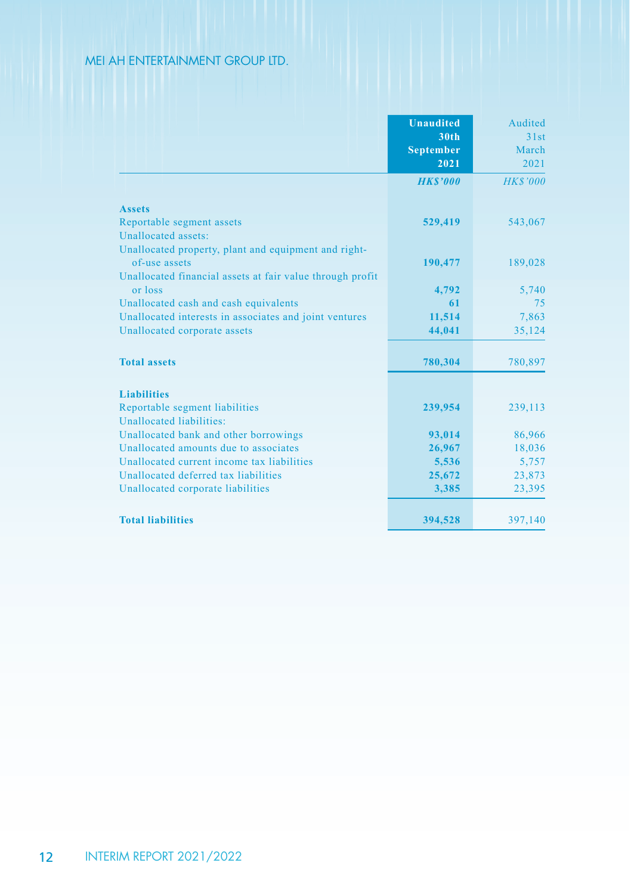|                                                                                | <b>Unaudited</b><br>30th<br><b>September</b><br>2021 | Audited<br>31st<br>March<br>2021 |
|--------------------------------------------------------------------------------|------------------------------------------------------|----------------------------------|
|                                                                                | <b>HKS'000</b>                                       | <b>HK\$'000</b>                  |
| <b>Assets</b>                                                                  |                                                      |                                  |
| Reportable segment assets                                                      | 529,419                                              | 543,067                          |
| Unallocated assets:                                                            |                                                      |                                  |
| Unallocated property, plant and equipment and right-                           |                                                      |                                  |
| of-use assets                                                                  | 190,477                                              | 189,028                          |
| Unallocated financial assets at fair value through profit                      |                                                      |                                  |
| or loss                                                                        | 4,792                                                | 5,740                            |
| Unallocated cash and cash equivalents                                          | 61                                                   | 75                               |
| Unallocated interests in associates and joint ventures                         | 11,514                                               | 7,863                            |
| Unallocated corporate assets                                                   | 44,041                                               | 35,124                           |
|                                                                                |                                                      |                                  |
| <b>Total assets</b>                                                            | 780,304                                              | 780,897                          |
|                                                                                |                                                      |                                  |
| <b>Liabilities</b>                                                             |                                                      |                                  |
| Reportable segment liabilities                                                 | 239,954                                              | 239,113                          |
| Unallocated liabilities:                                                       |                                                      |                                  |
| Unallocated bank and other borrowings<br>Unallocated amounts due to associates | 93,014                                               | 86,966                           |
| Unallocated current income tax liabilities                                     | 26,967                                               | 18,036                           |
| Unallocated deferred tax liabilities                                           | 5,536<br>25,672                                      | 5,757<br>23,873                  |
| Unallocated corporate liabilities                                              | 3,385                                                | 23,395                           |
|                                                                                |                                                      |                                  |
| <b>Total liabilities</b>                                                       | 394,528                                              | 397,140                          |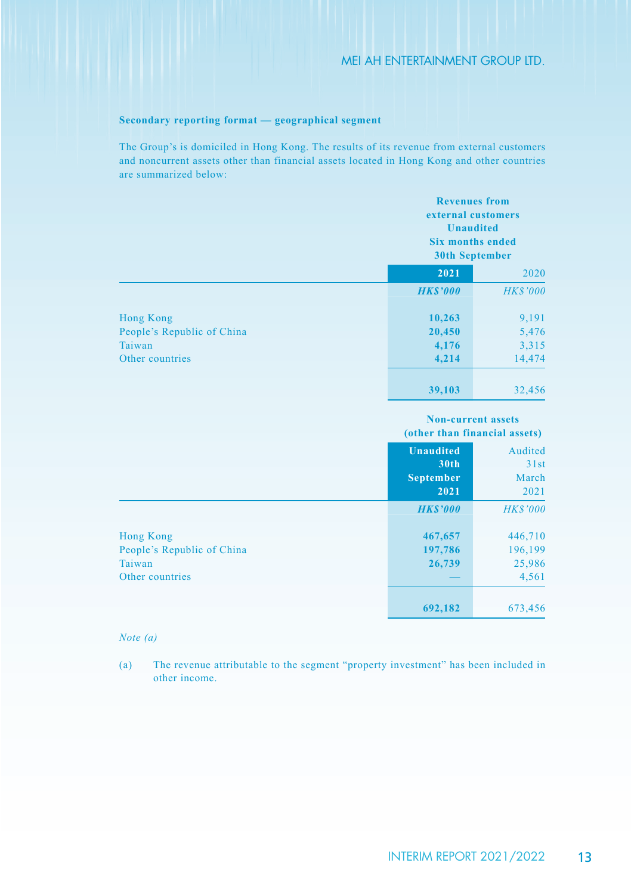### **Secondary reporting format — geographical segment**

The Group's is domiciled in Hong Kong. The results of its revenue from external customers and noncurrent assets other than financial assets located in Hong Kong and other countries are summarized below:

|                            |                 | <b>Revenues</b> from<br>external customers<br><b>Unaudited</b><br><b>Six months ended</b><br><b>30th September</b> |  |
|----------------------------|-----------------|--------------------------------------------------------------------------------------------------------------------|--|
|                            | 2021            | 2020                                                                                                               |  |
|                            | <b>HK\$'000</b> | <b>HK\$'000</b>                                                                                                    |  |
| <b>Hong Kong</b>           | 10,263          | 9,191                                                                                                              |  |
| People's Republic of China | 20,450          | 5,476                                                                                                              |  |
| Taiwan                     | 4,176           | 3,315                                                                                                              |  |
| Other countries            | 4,214           | 14,474                                                                                                             |  |
|                            | 39,103          | 32,456                                                                                                             |  |

**Non-current assets (other than financial assets)**

|                            | <b>Unaudited</b><br>30th | Audited<br>31st |
|----------------------------|--------------------------|-----------------|
|                            | <b>September</b>         | March           |
|                            | 2021                     | 2021            |
|                            | <b>HK\$'000</b>          | <b>HK\$'000</b> |
| Hong Kong                  | 467,657                  | 446,710         |
| People's Republic of China | 197,786                  | 196,199         |
| Taiwan                     | 26,739                   | 25,986          |
| Other countries            |                          | 4,561           |
|                            |                          |                 |
|                            | 692,182                  | 673,456         |

#### *Note (a)*

(a) The revenue attributable to the segment "property investment" has been included in other income.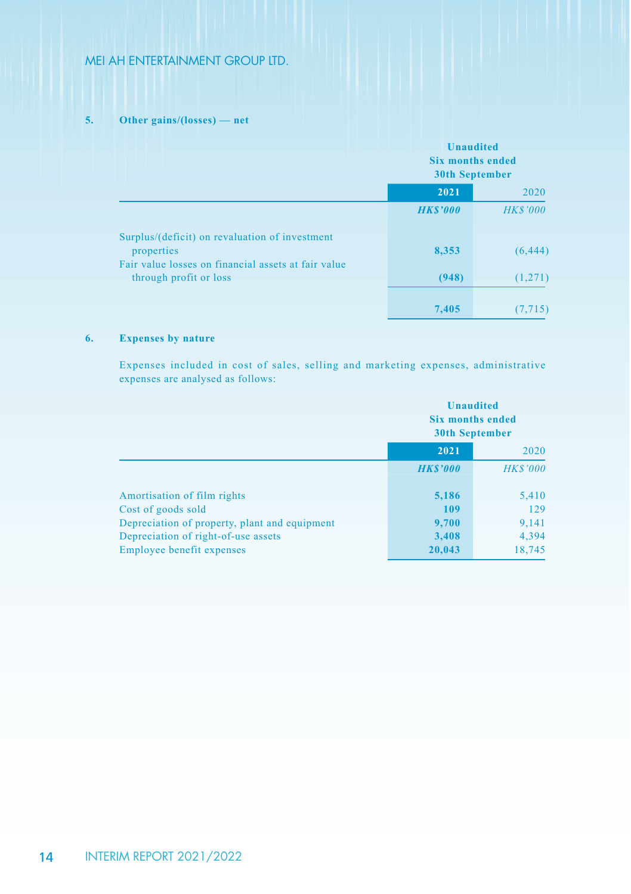### **5. Other gains/(losses) — net**

|                                                                               |                 | <b>Unaudited</b><br><b>Six months ended</b><br><b>30th September</b> |  |
|-------------------------------------------------------------------------------|-----------------|----------------------------------------------------------------------|--|
|                                                                               | 2021            | 2020                                                                 |  |
|                                                                               | <b>HK\$'000</b> | <b>HK\$'000</b>                                                      |  |
| Surplus/(deficit) on revaluation of investment<br>properties                  | 8,353           | (6, 444)                                                             |  |
| Fair value losses on financial assets at fair value<br>through profit or loss | (948)           | (1,271)                                                              |  |
|                                                                               | 7,405           | (7, 715)                                                             |  |

### **6. Expenses by nature**

Expenses included in cost of sales, selling and marketing expenses, administrative expenses are analysed as follows:

|                                               | <b>Unaudited</b><br><b>Six months ended</b><br><b>30th September</b> |                 |
|-----------------------------------------------|----------------------------------------------------------------------|-----------------|
|                                               | 2021                                                                 | 2020            |
|                                               | <b>HKS'000</b>                                                       | <b>HK\$'000</b> |
| Amortisation of film rights                   | 5,186                                                                | 5,410           |
| Cost of goods sold                            | 109                                                                  | 129             |
| Depreciation of property, plant and equipment | 9,700                                                                | 9,141           |
| Depreciation of right-of-use assets           | 3,408                                                                | 4,394           |
| Employee benefit expenses                     | 20,043                                                               | 18,745          |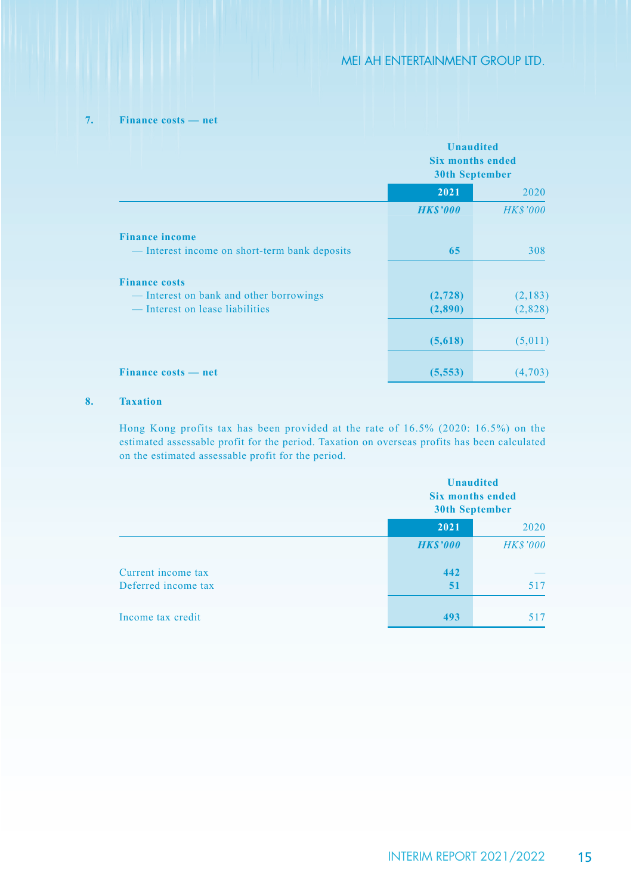## **7. Finance costs — net**

|                                             | <b>Unaudited</b><br><b>Six months ended</b><br><b>30th September</b> |                 |
|---------------------------------------------|----------------------------------------------------------------------|-----------------|
|                                             | 2021<br>2020                                                         |                 |
|                                             | <b>HKS'000</b>                                                       | <b>HK\$'000</b> |
| <b>Finance income</b>                       |                                                                      |                 |
| Interest income on short-term bank deposits | 65                                                                   | 308             |
| <b>Finance costs</b>                        |                                                                      |                 |
| Interest on bank and other borrowings       | (2,728)                                                              | (2,183)         |
| Interest on lease liabilities               | (2,890)                                                              | (2,828)         |
|                                             | (5,618)                                                              | (5,011)         |
| Finance costs — net                         | (5, 553)                                                             | (4,703)         |

### **8. Taxation**

Hong Kong profits tax has been provided at the rate of 16.5% (2020: 16.5%) on the estimated assessable profit for the period. Taxation on overseas profits has been calculated on the estimated assessable profit for the period.

|                     |                 | <b>Unaudited</b><br><b>Six months ended</b><br><b>30th September</b> |
|---------------------|-----------------|----------------------------------------------------------------------|
|                     | 2021            | 2020                                                                 |
|                     | <b>HK\$'000</b> | <b>HK\$'000</b>                                                      |
| Current income tax  | 442             |                                                                      |
| Deferred income tax | 51              | 517                                                                  |
|                     |                 |                                                                      |
| Income tax credit   | 493             | 517                                                                  |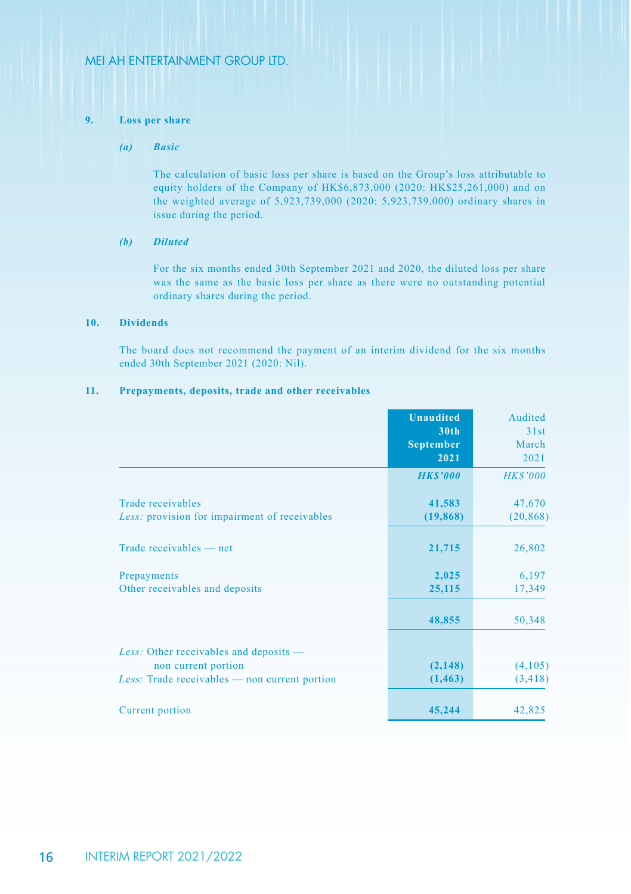### **9. Loss per share**

## *(a) Basic*

The calculation of basic loss per share is based on the Group's loss attributable to equity holders of the Company of HK\$6,873,000 (2020: HK\$25,261,000) and on the weighted average of 5,923,739,000 (2020: 5,923,739,000) ordinary shares in issue during the period.

#### *(b) Diluted*

For the six months ended 30th September 2021 and 2020, the diluted loss per share was the same as the basic loss per share as there were no outstanding potential ordinary shares during the period.

### **10. Dividends**

The board does not recommend the payment of an interim dividend for the six months ended 30th September 2021 (2020: Nil).

#### **11. Prepayments, deposits, trade and other receivables**

|                                                                    | <b>Unaudited</b><br>30th<br><b>September</b><br>2021 | Audited<br>31st<br>March<br>2021 |
|--------------------------------------------------------------------|------------------------------------------------------|----------------------------------|
|                                                                    | <b>HK\$'000</b>                                      | <b>HK\$'000</b>                  |
| Trade receivables<br>Less: provision for impairment of receivables | 41,583<br>(19, 868)                                  | 47,670<br>(20, 868)              |
| Trade receivables — net                                            | 21,715                                               | 26,802                           |
| Prepayments<br>Other receivables and deposits                      | 2,025<br>25,115                                      | 6,197<br>17,349                  |
|                                                                    | 48,855                                               | 50,348                           |
| Less: Other receivables and deposits —<br>non current portion      | (2, 148)                                             | (4,105)                          |
| <i>Less:</i> Trade receivables $-$ non current portion             | (1, 463)                                             | (3, 418)                         |
| Current portion                                                    | 45,244                                               | 42,825                           |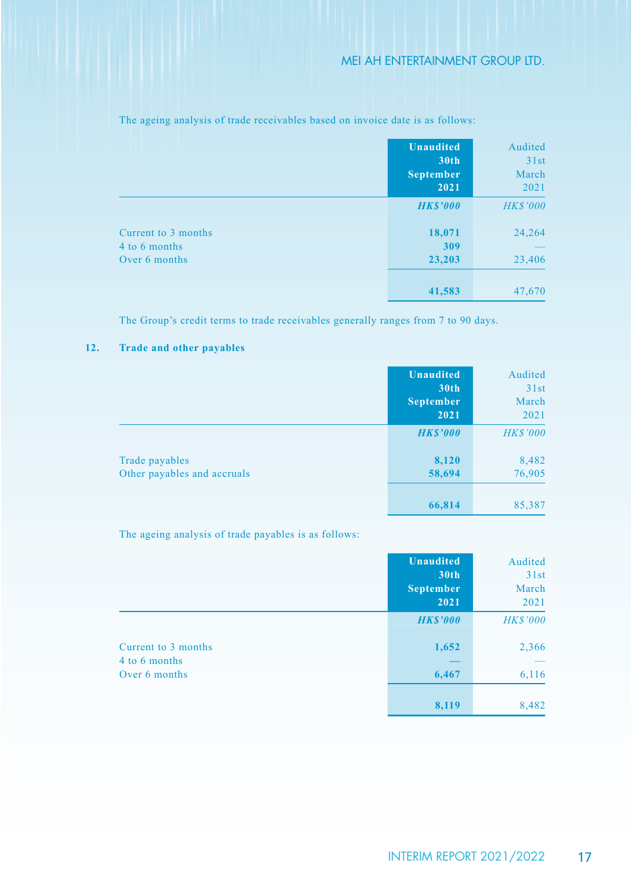|                                                       | <b>Unaudited</b><br>30th<br><b>September</b><br>2021 | Audited<br>31st<br>March<br>2021 |
|-------------------------------------------------------|------------------------------------------------------|----------------------------------|
|                                                       | <b>HK\$'000</b>                                      | <b>HK\$'000</b>                  |
| Current to 3 months<br>4 to 6 months<br>Over 6 months | 18,071<br>309<br>23,203                              | 24,264<br>23,406                 |
|                                                       | 41,583                                               | 47,670                           |

The ageing analysis of trade receivables based on invoice date is as follows:

The Group's credit terms to trade receivables generally ranges from 7 to 90 days.

### **12. Trade and other payables**

|                                               | <b>Unaudited</b><br>30 <sub>th</sub><br><b>September</b><br>2021 | Audited<br>31st<br>March<br>2021 |
|-----------------------------------------------|------------------------------------------------------------------|----------------------------------|
|                                               | <b>HK\$'000</b>                                                  | <b>HK\$'000</b>                  |
| Trade payables<br>Other payables and accruals | 8,120<br>58,694                                                  | 8,482<br>76,905                  |
|                                               | 66,814                                                           | 85,387                           |

The ageing analysis of trade payables is as follows:

|                                      | <b>Unaudited</b><br>30th<br><b>September</b><br>2021 | Audited<br>31st<br>March<br>2021 |
|--------------------------------------|------------------------------------------------------|----------------------------------|
|                                      | <b>HKS'000</b>                                       | <b>HK\$'000</b>                  |
| Current to 3 months<br>4 to 6 months | 1,652                                                | 2,366                            |
| Over 6 months                        | 6,467                                                | 6,116                            |
|                                      | 8,119                                                | 8,482                            |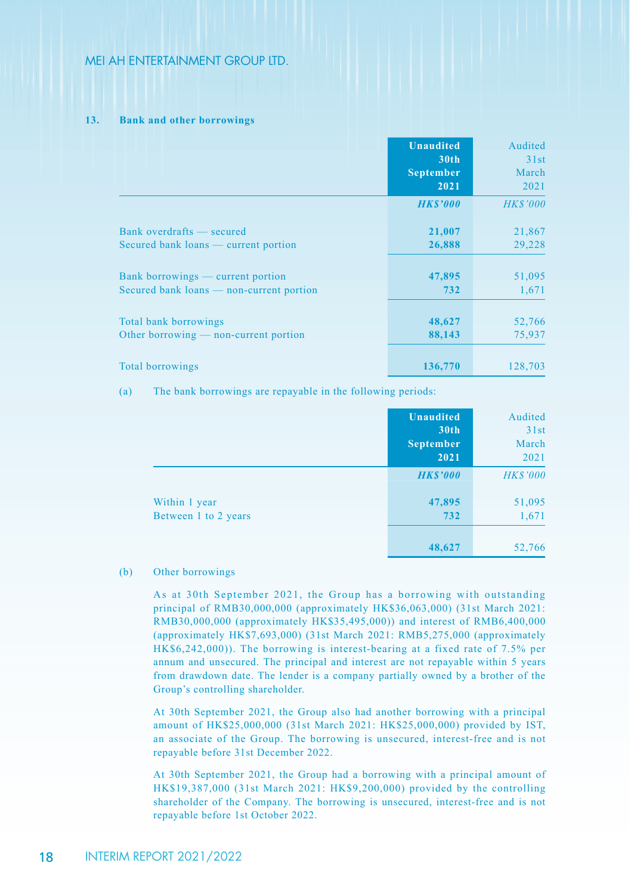#### **13. Bank and other borrowings**

|                                          | <b>Unaudited</b><br>30 <sub>th</sub><br><b>September</b><br>2021 | Audited<br>31st<br>March<br>2021 |
|------------------------------------------|------------------------------------------------------------------|----------------------------------|
|                                          | <b>HKS'000</b>                                                   | <b>HK\$'000</b>                  |
| Bank overdrafts — secured                | 21,007                                                           | 21,867                           |
| Secured bank loans — current portion     | 26,888                                                           | 29,228                           |
| Bank borrowings — current portion        | 47,895                                                           | 51,095                           |
| Secured bank loans — non-current portion | 732                                                              | 1,671                            |
| Total bank borrowings                    | 48,627                                                           | 52,766                           |
| Other borrowing $-$ non-current portion  | 88,143                                                           | 75,937                           |
| Total borrowings                         | 136,770                                                          | 128,703                          |

(a) The bank borrowings are repayable in the following periods:

|                      | <b>Unaudited</b> | Audited         |
|----------------------|------------------|-----------------|
|                      | 30th             | 31st            |
|                      | <b>September</b> | March           |
|                      | 2021             | 2021            |
|                      | <b>HKS'000</b>   | <b>HK\$'000</b> |
| Within 1 year        | 47,895           | 51,095          |
| Between 1 to 2 years | 732              | 1,671           |
|                      |                  |                 |
|                      | 48,627           | 52,766          |

### (b) Other borrowings

As at 30th September 2021, the Group has a borrowing with outstanding principal of RMB30,000,000 (approximately HK\$36,063,000) (31st March 2021: RMB30,000,000 (approximately HK\$35,495,000)) and interest of RMB6,400,000 (approximately HK\$7,693,000) (31st March 2021: RMB5,275,000 (approximately HK\$6,242,000)). The borrowing is interest-bearing at a fixed rate of 7.5% per annum and unsecured. The principal and interest are not repayable within 5 years from drawdown date. The lender is a company partially owned by a brother of the Group's controlling shareholder.

At 30th September 2021, the Group also had another borrowing with a principal amount of HK\$25,000,000 (31st March 2021: HK\$25,000,000) provided by IST, an associate of the Group. The borrowing is unsecured, interest-free and is not repayable before 31st December 2022.

At 30th September 2021, the Group had a borrowing with a principal amount of HK\$19,387,000 (31st March 2021: HK\$9,200,000) provided by the controlling shareholder of the Company. The borrowing is unsecured, interest-free and is not repayable before 1st October 2022.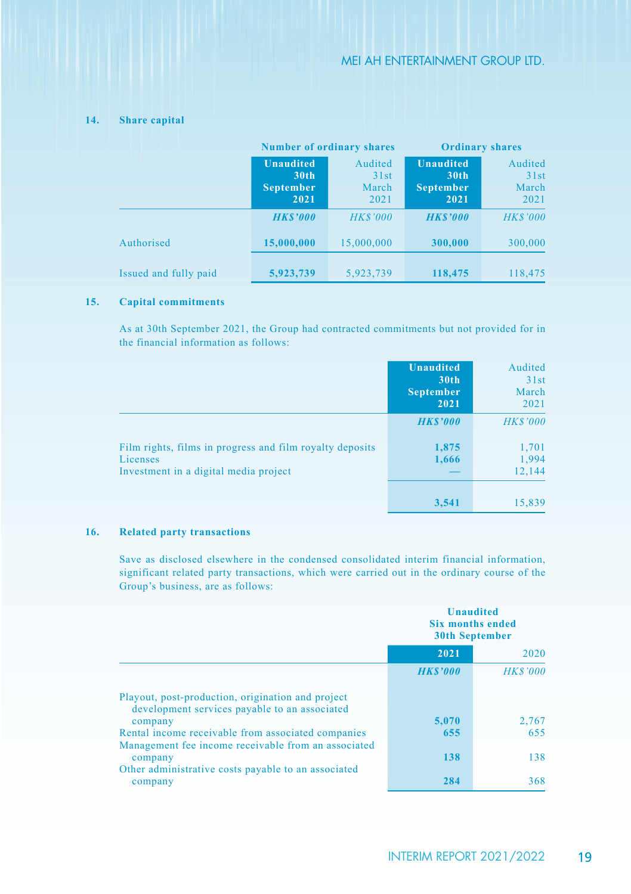|                       | <b>Number of ordinary shares</b>                                 |                                  | <b>Ordinary shares</b>                                           |                                  |
|-----------------------|------------------------------------------------------------------|----------------------------------|------------------------------------------------------------------|----------------------------------|
|                       | <b>Unaudited</b><br>30 <sub>th</sub><br><b>September</b><br>2021 | Audited<br>31st<br>March<br>2021 | <b>Unaudited</b><br>30 <sub>th</sub><br><b>September</b><br>2021 | Audited<br>31st<br>March<br>2021 |
|                       | <b>HKS'000</b>                                                   | <b>HK\$'000</b>                  | <b>HKS'000</b>                                                   | <b>HK\$'000</b>                  |
| Authorised            | 15,000,000                                                       | 15,000,000                       | 300,000                                                          | 300,000                          |
| Issued and fully paid | 5,923,739                                                        | 5,923,739                        | 118,475                                                          | 118,475                          |

## **14. Share capital**

#### **15. Capital commitments**

As at 30th September 2021, the Group had contracted commitments but not provided for in the financial information as follows:

|                                                                                                               | <b>Unaudited</b><br>30 <sub>th</sub><br><b>September</b><br>2021 | Audited<br>31st<br>March<br>2021 |
|---------------------------------------------------------------------------------------------------------------|------------------------------------------------------------------|----------------------------------|
|                                                                                                               | <b>HK\$'000</b>                                                  | <b>HK\$'000</b>                  |
| Film rights, films in progress and film royalty deposits<br>Licenses<br>Investment in a digital media project | 1,875<br>1,666                                                   | 1,701<br>1,994<br>12,144         |
|                                                                                                               | 3,541                                                            | 15,839                           |

## **16. Related party transactions**

Save as disclosed elsewhere in the condensed consolidated interim financial information, significant related party transactions, which were carried out in the ordinary course of the Group's business, are as follows:

|                                                                                                    | <b>Unaudited</b><br><b>Six months ended</b><br><b>30th September</b> |                 |
|----------------------------------------------------------------------------------------------------|----------------------------------------------------------------------|-----------------|
|                                                                                                    | 2021                                                                 | 2020            |
|                                                                                                    | <b>HKS'000</b>                                                       | <b>HK\$'000</b> |
| Playout, post-production, origination and project<br>development services payable to an associated |                                                                      |                 |
| company                                                                                            | 5.070                                                                | 2,767           |
| Rental income receivable from associated companies                                                 | 655                                                                  | 655             |
| Management fee income receivable from an associated                                                |                                                                      |                 |
| company<br>Other administrative costs payable to an associated                                     | 138                                                                  | 138             |
| company                                                                                            | 284                                                                  | 368             |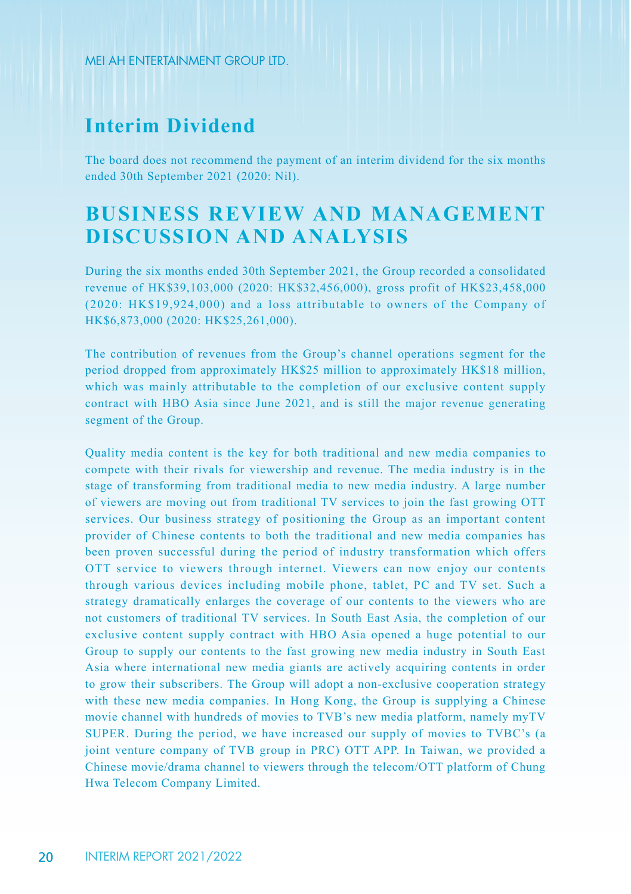# **Interim Dividend**

The board does not recommend the payment of an interim dividend for the six months ended 30th September 2021 (2020: Nil).

# **BUSINESS REVIEW AND MANAGEMENT DISCUSSION AND ANALYSIS**

During the six months ended 30th September 2021, the Group recorded a consolidated revenue of HK\$39,103,000 (2020: HK\$32,456,000), gross profit of HK\$23,458,000 (2020: HK\$19,924,000) and a loss attributable to owners of the Company of HK\$6,873,000 (2020: HK\$25,261,000).

The contribution of revenues from the Group's channel operations segment for the period dropped from approximately HK\$25 million to approximately HK\$18 million, which was mainly attributable to the completion of our exclusive content supply contract with HBO Asia since June 2021, and is still the major revenue generating segment of the Group.

Quality media content is the key for both traditional and new media companies to compete with their rivals for viewership and revenue. The media industry is in the stage of transforming from traditional media to new media industry. A large number of viewers are moving out from traditional TV services to join the fast growing OTT services. Our business strategy of positioning the Group as an important content provider of Chinese contents to both the traditional and new media companies has been proven successful during the period of industry transformation which offers OTT service to viewers through internet. Viewers can now enjoy our contents through various devices including mobile phone, tablet, PC and TV set. Such a strategy dramatically enlarges the coverage of our contents to the viewers who are not customers of traditional TV services. In South East Asia, the completion of our exclusive content supply contract with HBO Asia opened a huge potential to our Group to supply our contents to the fast growing new media industry in South East Asia where international new media giants are actively acquiring contents in order to grow their subscribers. The Group will adopt a non-exclusive cooperation strategy with these new media companies. In Hong Kong, the Group is supplying a Chinese movie channel with hundreds of movies to TVB's new media platform, namely myTV SUPER. During the period, we have increased our supply of movies to TVBC's (a joint venture company of TVB group in PRC) OTT APP. In Taiwan, we provided a Chinese movie/drama channel to viewers through the telecom/OTT platform of Chung Hwa Telecom Company Limited.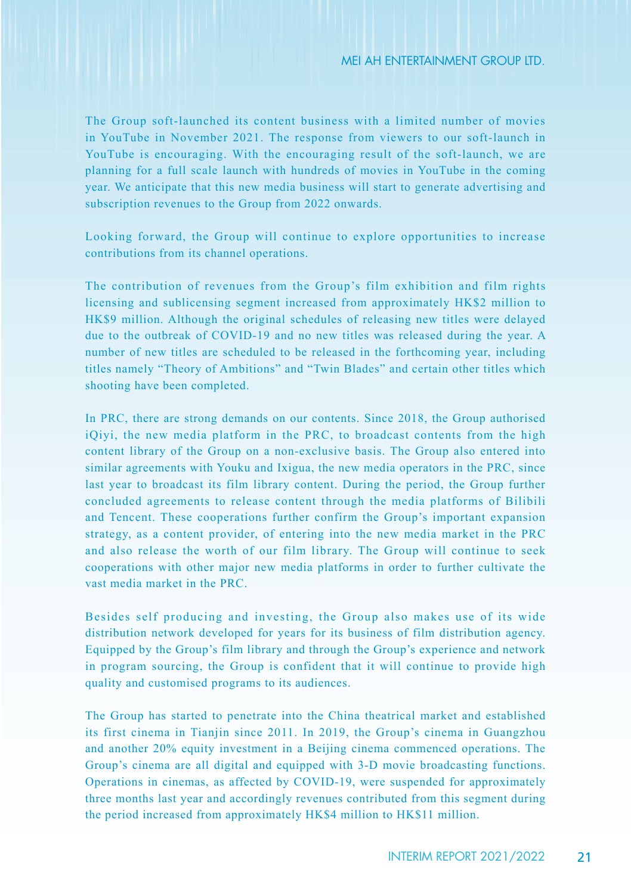The Group soft-launched its content business with a limited number of movies in YouTube in November 2021. The response from viewers to our soft-launch in YouTube is encouraging. With the encouraging result of the soft-launch, we are planning for a full scale launch with hundreds of movies in YouTube in the coming year. We anticipate that this new media business will start to generate advertising and subscription revenues to the Group from 2022 onwards.

Looking forward, the Group will continue to explore opportunities to increase contributions from its channel operations.

The contribution of revenues from the Group's film exhibition and film rights licensing and sublicensing segment increased from approximately HK\$2 million to HK\$9 million. Although the original schedules of releasing new titles were delayed due to the outbreak of COVID-19 and no new titles was released during the year. A number of new titles are scheduled to be released in the forthcoming year, including titles namely "Theory of Ambitions" and "Twin Blades" and certain other titles which shooting have been completed.

In PRC, there are strong demands on our contents. Since 2018, the Group authorised iQiyi, the new media platform in the PRC, to broadcast contents from the high content library of the Group on a non-exclusive basis. The Group also entered into similar agreements with Youku and Ixigua, the new media operators in the PRC, since last year to broadcast its film library content. During the period, the Group further concluded agreements to release content through the media platforms of Bilibili and Tencent. These cooperations further confirm the Group's important expansion strategy, as a content provider, of entering into the new media market in the PRC and also release the worth of our film library. The Group will continue to seek cooperations with other major new media platforms in order to further cultivate the vast media market in the PRC.

Besides self producing and investing, the Group also makes use of its wide distribution network developed for years for its business of film distribution agency. Equipped by the Group's film library and through the Group's experience and network in program sourcing, the Group is confident that it will continue to provide high quality and customised programs to its audiences.

The Group has started to penetrate into the China theatrical market and established its first cinema in Tianjin since 2011. In 2019, the Group's cinema in Guangzhou and another 20% equity investment in a Beijing cinema commenced operations. The Group's cinema are all digital and equipped with 3-D movie broadcasting functions. Operations in cinemas, as affected by COVID-19, were suspended for approximately three months last year and accordingly revenues contributed from this segment during the period increased from approximately HK\$4 million to HK\$11 million.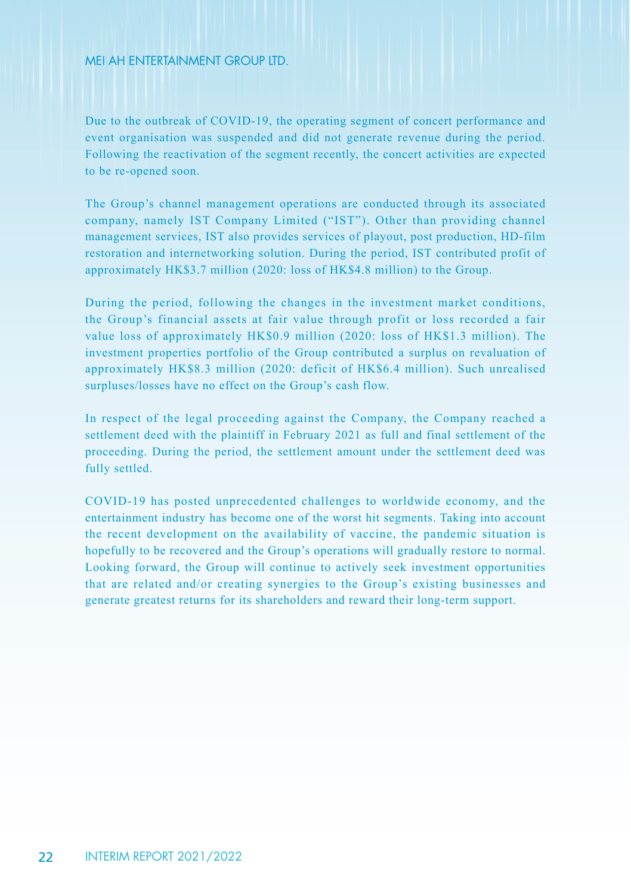Due to the outbreak of COVID-19, the operating segment of concert performance and event organisation was suspended and did not generate revenue during the period. Following the reactivation of the segment recently, the concert activities are expected to be re-opened soon.

The Group's channel management operations are conducted through its associated company, namely IST Company Limited ("IST"). Other than providing channel management services, IST also provides services of playout, post production, HD-film restoration and internetworking solution. During the period, IST contributed profit of approximately HK\$3.7 million (2020: loss of HK\$4.8 million) to the Group.

During the period, following the changes in the investment market conditions, the Group's financial assets at fair value through profit or loss recorded a fair value loss of approximately HK\$0.9 million (2020: loss of HK\$1.3 million). The investment properties portfolio of the Group contributed a surplus on revaluation of approximately HK\$8.3 million (2020: deficit of HK\$6.4 million). Such unrealised surpluses/losses have no effect on the Group's cash flow.

In respect of the legal proceeding against the Company, the Company reached a settlement deed with the plaintiff in February 2021 as full and final settlement of the proceeding. During the period, the settlement amount under the settlement deed was fully settled.

COVID-19 has posted unprecedented challenges to worldwide economy, and the entertainment industry has become one of the worst hit segments. Taking into account the recent development on the availability of vaccine, the pandemic situation is hopefully to be recovered and the Group's operations will gradually restore to normal. Looking forward, the Group will continue to actively seek investment opportunities that are related and/or creating synergies to the Group's existing businesses and generate greatest returns for its shareholders and reward their long-term support.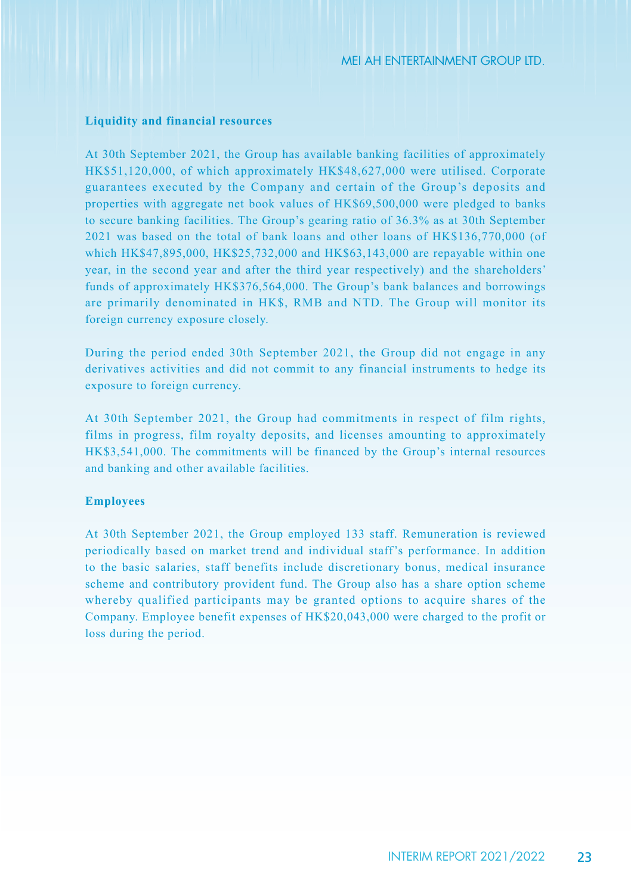#### **Liquidity and financial resources**

At 30th September 2021, the Group has available banking facilities of approximately HK\$51,120,000, of which approximately HK\$48,627,000 were utilised. Corporate guarantees executed by the Company and certain of the Group's deposits and properties with aggregate net book values of HK\$69,500,000 were pledged to banks to secure banking facilities. The Group's gearing ratio of 36.3% as at 30th September 2021 was based on the total of bank loans and other loans of HK\$136,770,000 (of which HK\$47,895,000, HK\$25,732,000 and HK\$63,143,000 are repayable within one year, in the second year and after the third year respectively) and the shareholders' funds of approximately HK\$376,564,000. The Group's bank balances and borrowings are primarily denominated in HK\$, RMB and NTD. The Group will monitor its foreign currency exposure closely.

During the period ended 30th September 2021, the Group did not engage in any derivatives activities and did not commit to any financial instruments to hedge its exposure to foreign currency.

At 30th September 2021, the Group had commitments in respect of film rights, films in progress, film royalty deposits, and licenses amounting to approximately HK\$3,541,000. The commitments will be financed by the Group's internal resources and banking and other available facilities.

#### **Employees**

At 30th September 2021, the Group employed 133 staff. Remuneration is reviewed periodically based on market trend and individual staff's performance. In addition to the basic salaries, staff benefits include discretionary bonus, medical insurance scheme and contributory provident fund. The Group also has a share option scheme whereby qualified participants may be granted options to acquire shares of the Company. Employee benefit expenses of HK\$20,043,000 were charged to the profit or loss during the period.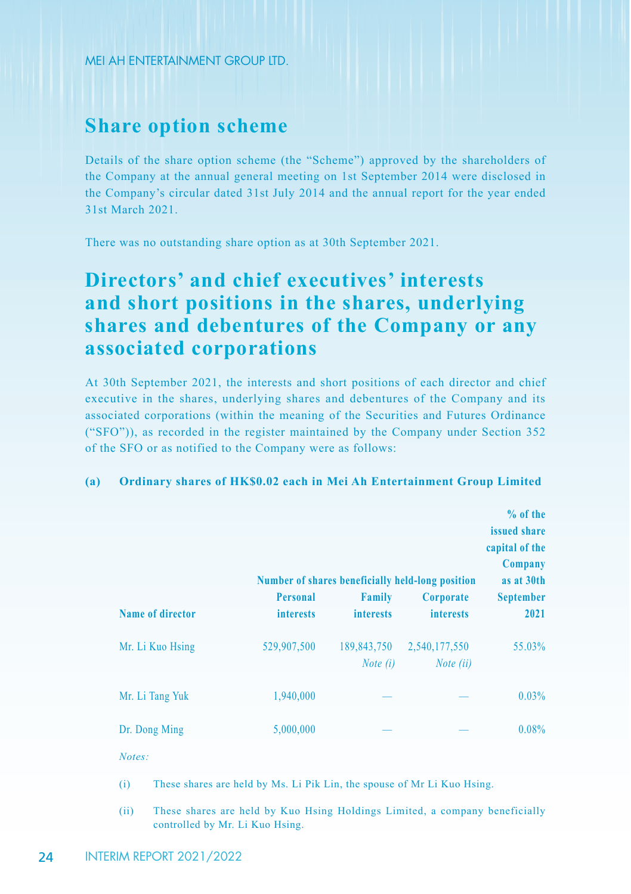## **Share option scheme**

Details of the share option scheme (the "Scheme") approved by the shareholders of the Company at the annual general meeting on 1st September 2014 were disclosed in the Company's circular dated 31st July 2014 and the annual report for the year ended 31st March 2021.

There was no outstanding share option as at 30th September 2021.

# **Directors' and chief executives' interests and short positions in the shares, underlying shares and debentures of the Company or any associated corporations**

At 30th September 2021, the interests and short positions of each director and chief executive in the shares, underlying shares and debentures of the Company and its associated corporations (within the meaning of the Securities and Futures Ordinance ("SFO")), as recorded in the register maintained by the Company under Section 352 of the SFO or as notified to the Company were as follows:

### **(a) Ordinary shares of HK\$0.02 each in Mei Ah Entertainment Group Limited**

|                         |                  |                                  | Number of shares beneficially held-long position | % of the<br>issued share<br>capital of the<br>Company<br>as at 30th |
|-------------------------|------------------|----------------------------------|--------------------------------------------------|---------------------------------------------------------------------|
|                         | Personal         | <b>Family</b>                    | Corporate                                        | <b>September</b>                                                    |
| <b>Name of director</b> | <b>interests</b> | <b>interests</b>                 | <i>interests</i>                                 | 2021                                                                |
| Mr. Li Kuo Hsing        | 529,907,500      | 189,843,750<br><i>Note</i> $(i)$ | 2,540,177,550<br>Note (ii)                       | 55.03%                                                              |
| Mr. Li Tang Yuk         | 1,940,000        |                                  |                                                  | $0.03\%$                                                            |
| Dr. Dong Ming           | 5,000,000        |                                  |                                                  | 0.08%                                                               |

*Notes:*

- (i) These shares are held by Ms. Li Pik Lin, the spouse of Mr Li Kuo Hsing.
- (ii) These shares are held by Kuo Hsing Holdings Limited, a company beneficially controlled by Mr. Li Kuo Hsing.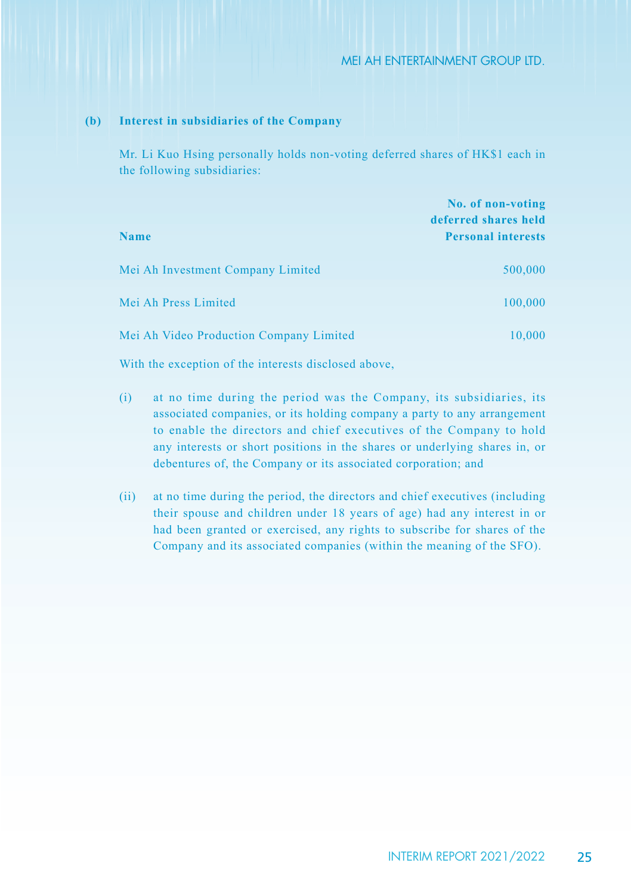#### **(b) Interest in subsidiaries of the Company**

Mr. Li Kuo Hsing personally holds non-voting deferred shares of HK\$1 each in the following subsidiaries:

|                                         | No. of non-voting<br>deferred shares held |
|-----------------------------------------|-------------------------------------------|
| <b>Name</b>                             | <b>Personal interests</b>                 |
| Mei Ah Investment Company Limited       | 500,000                                   |
| Mei Ah Press Limited                    | 100,000                                   |
| Mei Ah Video Production Company Limited | 10,000                                    |

With the exception of the interests disclosed above,

- (i) at no time during the period was the Company, its subsidiaries, its associated companies, or its holding company a party to any arrangement to enable the directors and chief executives of the Company to hold any interests or short positions in the shares or underlying shares in, or debentures of, the Company or its associated corporation; and
- (ii) at no time during the period, the directors and chief executives (including their spouse and children under 18 years of age) had any interest in or had been granted or exercised, any rights to subscribe for shares of the Company and its associated companies (within the meaning of the SFO).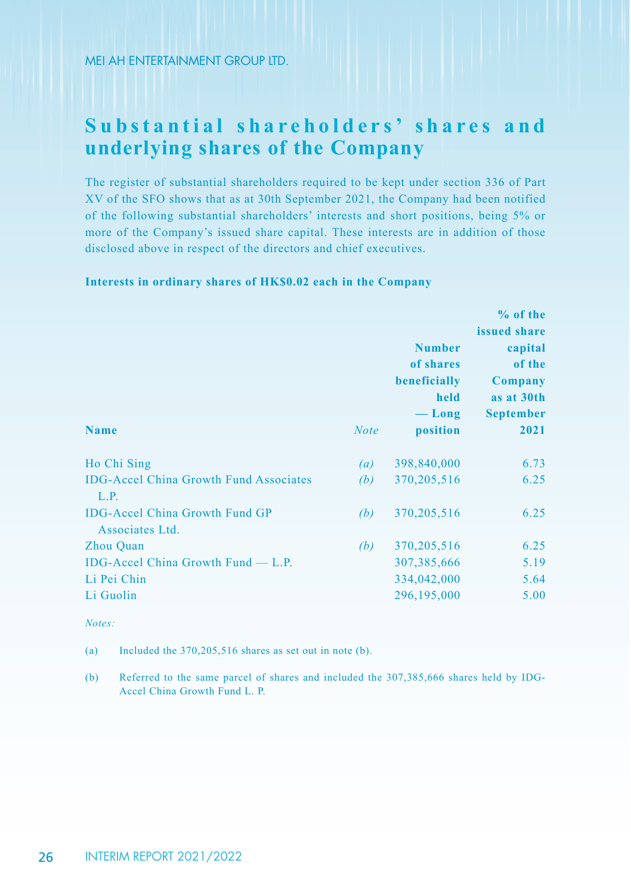# Substantial shareholders' shares and **underlying shares of the Company**

The register of substantial shareholders required to be kept under section 336 of Part XV of the SFO shows that as at 30th September 2021, the Company had been notified of the following substantial shareholders' interests and short positions, being 5% or more of the Company's issued share capital. These interests are in addition of those disclosed above in respect of the directors and chief executives.

## **Interests in ordinary shares of HK\$0.02 each in the Company**

|                                                          |                  |                           | % of the                     |  |
|----------------------------------------------------------|------------------|---------------------------|------------------------------|--|
|                                                          |                  |                           | issued share                 |  |
|                                                          |                  | <b>Number</b>             | capital<br>of the<br>Company |  |
|                                                          |                  | of shares<br>beneficially |                              |  |
|                                                          |                  |                           |                              |  |
|                                                          | held             | as at 30th                |                              |  |
|                                                          |                  | $-\mathbf{Long}$          | <b>September</b>             |  |
| <b>Name</b>                                              | <b>Note</b>      | position                  | 2021                         |  |
| Ho Chi Sing                                              | $\left(a\right)$ | 398,840,000               | 6.73                         |  |
| <b>IDG-Accel China Growth Fund Associates</b><br>L.P.    | (b)              | 370, 205, 516             | 6.25                         |  |
| <b>IDG-Accel China Growth Fund GP</b><br>Associates Ltd. | (b)              | 370, 205, 516             | 6.25                         |  |
| Zhou Quan                                                | (b)              | 370, 205, 516             | 6.25                         |  |
| IDG-Accel China Growth Fund $-$ L.P.                     |                  | 307, 385, 666             | 5.19                         |  |
| Li Pei Chin                                              |                  | 334,042,000               | 5.64                         |  |
| Li Guolin                                                |                  | 296,195,000               | 5.00                         |  |

#### *Notes:*

(a) Included the 370,205,516 shares as set out in note (b).

(b) Referred to the same parcel of shares and included the 307,385,666 shares held by IDG-Accel China Growth Fund L. P.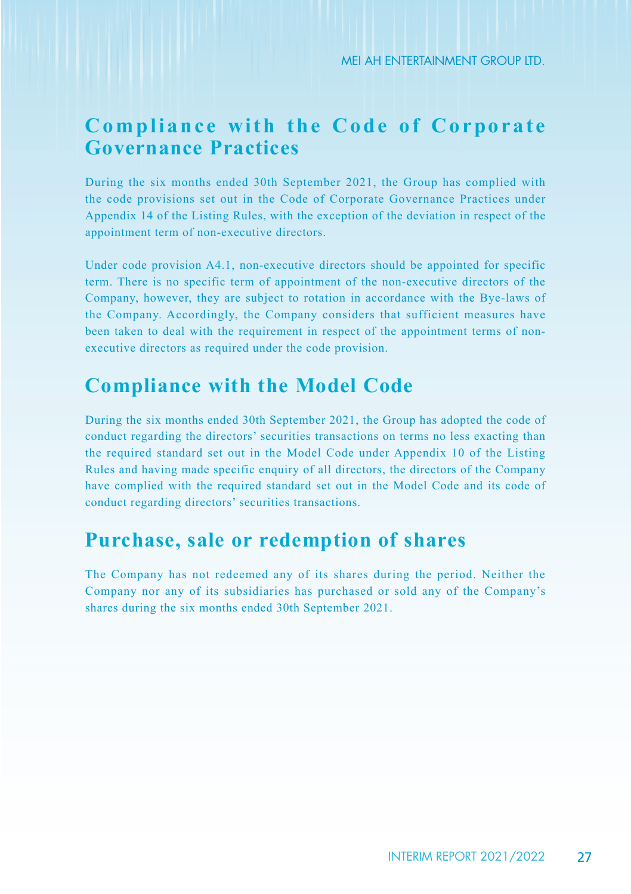# **Compliance with the Code of Corporate Governance Practices**

During the six months ended 30th September 2021, the Group has complied with the code provisions set out in the Code of Corporate Governance Practices under Appendix 14 of the Listing Rules, with the exception of the deviation in respect of the appointment term of non-executive directors.

Under code provision A4.1, non-executive directors should be appointed for specific term. There is no specific term of appointment of the non-executive directors of the Company, however, they are subject to rotation in accordance with the Bye-laws of the Company. Accordingly, the Company considers that sufficient measures have been taken to deal with the requirement in respect of the appointment terms of nonexecutive directors as required under the code provision.

## **Compliance with the Model Code**

During the six months ended 30th September 2021, the Group has adopted the code of conduct regarding the directors' securities transactions on terms no less exacting than the required standard set out in the Model Code under Appendix 10 of the Listing Rules and having made specific enquiry of all directors, the directors of the Company have complied with the required standard set out in the Model Code and its code of conduct regarding directors' securities transactions.

## **Purchase, sale or redemption of shares**

The Company has not redeemed any of its shares during the period. Neither the Company nor any of its subsidiaries has purchased or sold any of the Company's shares during the six months ended 30th September 2021.